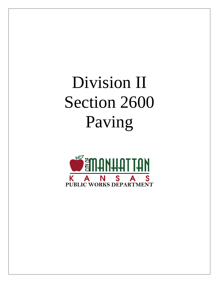# Division II Section 2600 Paving

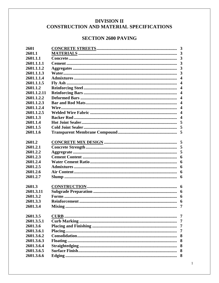# **DIVISION II** CONSTRUCTION AND MATERIAL SPECIFICATIONS

# **SECTION 2600 PAVING**

| 2601        |                          |
|-------------|--------------------------|
| 2601.1      |                          |
| 2601.1.1    | $\overline{3}$           |
| 2601.1.1.1  | $\mathbf{3}$             |
| 2601.1.1.2  | $\overline{3}$           |
| 2601.1.1.3  | $\overline{\mathbf{3}}$  |
| 2601.1.1.4  | 4                        |
| 2601.1.1.5  | $\overline{\mathcal{L}}$ |
| 2601.1.2    | $\overline{\mathcal{L}}$ |
| 2601.1.2.11 | $\overline{\mathcal{L}}$ |
| 2601.1.2.2  | $\overline{\mathbf{4}}$  |
| 2601.1.2.3  | $\overline{\mathcal{L}}$ |
| 2601.1.2.4  | $\overline{\mathcal{A}}$ |
| 2601.1.2.5  | $\overline{\mathcal{A}}$ |
| 2601.1.3    | $\overline{\mathbf{4}}$  |
| 2601.1.4    | 5                        |
| 2601.1.5    | 5                        |
| 2601.1.6    | 5                        |
|             |                          |
| 2601.2      |                          |
| 2601.2.1    |                          |
| 2601.2.2    | 5                        |
| 2601.2.3    | 6                        |
| 2601.2.4    | 6                        |
| 2601.2.5    | 6                        |
| 2601.2.6    | 6                        |
| 2601.2.7    | 6                        |
|             |                          |
| 2601.3      | 6                        |
| 2601.3.11   | 6                        |
| 2601.3.2    | 6                        |
| 2601.3.3    | 6                        |
| 2601.3.4    | 7                        |
|             |                          |
| 2601.3.5    | 7                        |
| 2601.3.5.1  | $\overline{7}$           |
| 2601.3.6    | 7                        |
| 2601.3.6.1  | 7                        |
| 2601.3.6.2  | 8                        |
| 2601.3.6.3  | 8                        |
| 2601.3.6.4  | 8                        |
| 2601.3.6.5  | 8                        |
| 2601.3.6.6  | 8                        |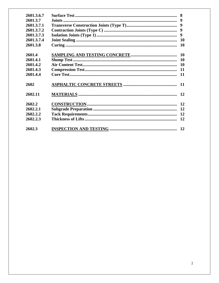| 2601.3.6.7<br>2601.3.7<br>2601.3.7.1<br>2601.3.7.2<br>2601.3.7.3<br>2601.3.7.4<br>2601.3.8 | 8<br>-9<br>9<br>10<br><b>10</b> |
|--------------------------------------------------------------------------------------------|---------------------------------|
| 2601.4                                                                                     | <b>10</b>                       |
| 2601.4.1<br>2601.4.2                                                                       | 10<br><b>10</b>                 |
| 2601.4.3                                                                                   | 11                              |
| 2601.4.4                                                                                   | 11                              |
| 2602                                                                                       | <b>11</b>                       |
| 2602.11                                                                                    | 12                              |
| 2602.2                                                                                     |                                 |
| 2602.2.1                                                                                   |                                 |
| 2602.2.2                                                                                   | 12                              |
| 2602.2.3                                                                                   | 12                              |
| 2602.3                                                                                     |                                 |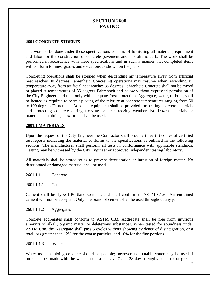# **SECTION 2600 PAVING**

#### **2601 CONCRETE STREETS**

The work to be done under these specifications consists of furnishing all materials, equipment and labor for the construction of concrete pavement and monolithic curb. The work shall be performed in accordance with these specifications and in such a manner that completed items will conform to lines, grades and elevations as shown on the plans.

Concreting operations shall be stopped when descending air temperature away from artificial heat reaches 40 degrees Fahrenheit. Concreting operations may resume when ascending air temperature away from artificial heat reaches 35 degrees Fahrenheit. Concrete shall not be mixed or placed at temperatures of 35 degrees Fahrenheit and below without expressed permission of the City Engineer, and then only with adequate frost protection. Aggregate, water, or both, shall be heated as required to permit placing of the mixture at concrete temperatures ranging from 50 to 100 degrees Fahrenheit. Adequate equipment shall be provided for heating concrete materials and protecting concrete during freezing or near-freezing weather. No frozen materials or materials containing snow or ice shall be used.

#### **2601.1 MATERIALS**

Upon the request of the City Engineer the Contractor shall provide three (3) copies of certified test reports indicating the material conforms to the specifications as outlined in the following sections. The manufacturer shall perform all tests in conformance with applicable standards. Testing may be witnessed by the City Engineer or approved independent testing laboratory.

All materials shall be stored so as to prevent deterioration or intrusion of foreign matter. No deteriorated or damaged material shall be used.

2601.1.1 Concrete

2601.1.1.1 Cement

Cement shall be Type I Portland Cement, and shall conform to ASTM C150. Air entrained cement will not be accepted. Only one brand of cement shall be used throughout any job.

2601.1.1.2 Aggregates

Concrete aggregates shall conform to ASTM C33. Aggregate shall be free from injurious amounts of alkali, organic matter or deleterious substances. When tested for soundness under ASTM C88, the Aggregate shall pass 5 cycles without showing evidence of disintegration, or a total loss greater than 12% for the coarse particles, and 10% for the fine portions.

2601.1.1.3 Water

Water used in mixing concrete should be potable; however, nonpotable water may be used if mortar cubes made with the water in question have 7 and 28 day strengths equal to, or greater

3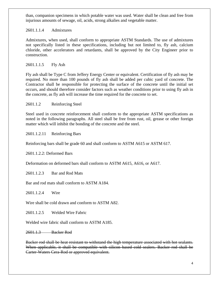than, companion specimens in which potable water was used. Water shall be clean and free from injurious amounts of sewage, oil, acids, strong alkalies and vegetable matter.

# 2601.1.1.4 Admixtures

Admixtures, when used, shall conform to appropriate ASTM Standards. The use of admixtures not specifically listed in these specifications, including but not limited to, fly ash, calcium chloride, other accelerators and retardants, shall be approved by the City Engineer prior to construction.

# 2601.1.1.5 Fly Ash

Fly ash shall be Type C from Jeffery Energy Center or equivalent. Certification of fly ash may be required. No more than 100 pounds of fly ash shall be added per cubic yard of concrete. The Contractor shall be responsible for protecting the surface of the concrete until the initial set occurs, and should therefore consider factors such as weather conditions prior to using fly ash in the concrete, as fly ash will increase the time required for the concrete to set.

# 2601.1.2 Reinforcing Steel

Steel used in concrete reinforcement shall conform to the appropriate ASTM specifications as noted in the following paragraphs. All steel shall be free from rust, oil, grease or other foreign matter which will inhibit the bonding of the concrete and the steel.

2601.1.2.11 Reinforcing Bars

Reinforcing bars shall be grade 60 and shall conform to ASTM A615 or ASTM 617.

2601.1.2.2: Deformed Bars

Deformation on deformed bars shall conform to ASTM A615, A616, or A617.

2601.1.2.3 Bar and Rod Mats

Bar and rod mats shall conform to ASTM A184.

2601.1.2.4 Wire

Wire shall be cold drawn and conform to ASTM A82.

2601.1.2.5 Welded Wire Fabric

Welded wire fabric shall conform to ASTM A185.

2601.1.3 Backer Rod

Backer rod shall be heat resistant to withstand the high temperature associated with hot sealants. When applicable, it shall be compatible with silicon based cold sealers. Backer rod shall be Carter-Waters Cera-Rod or approved equivalent.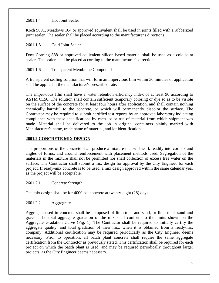#### 2601.1.4 Hot Joint Sealer

Koch 9001, Meadows 164 or approved equivalent shall be used in joints filled with a rubberized joint sealer. The sealer shall be placed according to the manufacturer's directions.

### 2601.1.5 Cold Joint Sealer

Dow Corning 888 or approved equivalent silicon based material shall be used as a cold joint sealer. The sealer shall be placed according to the manufacturer's directions.

# 2601.1.6 Transparent Membrane Compound

A transparent sealing solution that will form an impervious film within 30 minutes of application shall be applied at the manufacturer's prescribed rate.

The impervious film shall have a water retention efficiency index of at least 90 according to ASTM C156. The solution shall contain sufficient temporary coloring or dye so as to be visible on the surface of the concrete for at least four hours after application, and shall contain nothing chemically harmful to the concrete, or which will permanently discolor the surface. The Contractor may be required to submit certified test reports by an approved laboratory indicating compliance with these specifications by each lot or run of material from which shipment was made. Material shall be delivered to the job in original containers plainly marked with Manufacturer's name, trade name of material, and lot identification.

# **2601.2 CONCRETE MIX DESIGN**

The proportions of the concrete shall produce a mixture that will work readily into corners and angles of forms, and around reinforcement with placement methods used. Segregation of the materials in the mixture shall not be permitted nor shall collection of excess free water on the surface. The Contractor shall submit a mix design for approval by the City Engineer for each project. If ready-mix concrete is to be used, a mix design approved within the same calendar year as the project will be acceptable.

#### 2601.2.1 Concrete Strength

The mix design shall be for 4000 psi concrete at twenty-eight (28) days.

# 2601.2.2 Aggregrate

Aggregate used in concrete shall be composed of limestone and sand, or limestone, sand and gravel. The total aggregate gradation of the mix shall conform to the limits shown on the Aggregate Gradation Curve (Fig. 1). The Contractor shall be required to initially certify the aggregate quality, and total gradation of their mix, when it is obtained from a ready-mix company. Additional certification may be required periodically as the City Engineer deems necessary. Prior to operation, all batch plant concrete shall require the same aggregate certification from the Contractor as previously stated. This certification shall be required for each project on which the batch plant is used, and may be required periodically throughout larger projects, as the City Engineer deems necessary.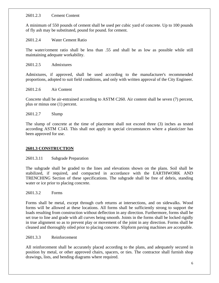#### 2601.2.3 Cement Content

A minimum of 550 pounds of cement shall be used per cubic yard of concrete. Up to 100 pounds of fly ash may be substituted, pound for pound. for cement.

2601.2.4 Water Cement Ratio

The water/cement ratio shall be less than .55 and shall be as low as possible while still maintaining adequate workability.

2601.2.5 Admixtures

Admixtures, if approved, shall be used according to the manufacturer's recommended proportions, adopted to suit field conditions, and only with written approval of the City Engineer.

#### 2601.2.6 Air Content

Concrete shall be air-entrained according to ASTM C260. Air content shall be seven (7) percent, plus or minus one (1) percent.

#### 2601.2.7 Slump

The slump of concrete at the time of placement shall not exceed three (3) inches as tested according ASTM C143. This shall not apply in special circumstances where a plasticizer has been approved for use.

# **2601.3 CONSTRUCTION**

#### 2601.3.11 Subgrade Preparation

The subgrade shall be graded to the lines and elevations shown on the plans. Soil shall be stabilized, if required, and compacted in accordance with the EARTHWORK AND TRENCHING Section of these specifications. The subgrade shall be free of debris, standing water or ice prior to placing concrete.

2601.3.2 Forms

Forms shall be metal, except through curb returns at intersections, and on sidewalks. Wood forms will be allowed at these locations. All forms shall be sufficiently strong to support the loads resulting from construction without deflection in any direction. Furthermore, forms shall be set true to line and grade with all curves being smooth. Joints in the forms shall be locked rigidly in true alignment so as to prevent play or movement of the joint in any direction. Forms shall be cleaned and thoroughly oiled prior to placing concrete. Slipform paving machines are acceptable.

#### 2601.3.3 Reinforcement

All reinforcement shall be accurately placed according to the plans, and adequately secured in position by metal, or other approved chairs, spacers, or ties. The contractor shall furnish shop drawings, lists, and bending diagrams where required.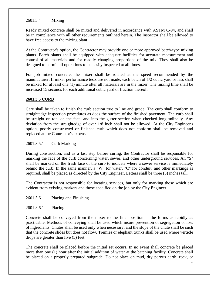#### 2601.3.4 Mixing

Ready mixed concrete shall be mixed and delivered in accordance with ASTM C-94, and shall be in compliance with all other requirements outlined herein. The Inspector shall be allowed to have free access to the mixing plant.

At the Contractor's option, the Contractor may provide one or more approved batch-type mixing plants. Batch plants shall be equipped with adequate facilities for accurate measurement and control of all materials and for readily changing proportions of the mix. They shall also be designed to permit all operations to be easily inspected at all times.

For job mixed concrete, the mixer shall be rotated at the speed recommended by the manufacturer. If mixer performance tests are not made, each batch of 1/2 cubic yard or less shall be mixed for at least one (1) minute after all materials are in the mixer. The mixing time shall be increased 15 seconds for each additional cubic yard or fraction thereof.

#### **2601.3.5 CURB**

Care shall be taken to finish the curb section true to line and grade. The curb shall conform to straightedge inspection procedures as does the surface of the finished pavement. The curb shall be straight on top, on the face, and into the gutter section when checked longitudinally. Any deviation from the straightedge of over 1/8 inch shall not be allowed. At the City Engineer's option, poorly constructed or finished curb which does not conform shall be removed and replaced at the Contractor's expense.

#### 2601.3.5.1 Curb Marking

During construction, and as a last step before curing, the Contractor shall be responsible for marking the face of the curb concerning water, sewer, and other underground services. An "S" shall be marked on the fresh face of the curb to indicate where a sewer service is immediately behind the curb. In the same manner, a "W" for water, "C" for conduit, and other markings as required, shall be placed as directed by the City Engineer. Letters shall be three (3) inches tall.

The Contractor is not responsible for locating services, but only for marking those which are evident from existing markers and those specified on the job by the City Engineer.

2601.3.6 Placing and Finishing

2601.3.6.1 Placing

Concrete shall be conveyed from the mixer to the final position in the forms as rapidly as practicable. Methods of conveying shall be used which insure prevention of segregation or loss of ingredients. Chutes shall be used only when necessary, and the slope of the chute shall be such that the concrete slides but does not flow. Tremies or elephant trunks shall be used where verticle drops are greater than five (5) feet.

The concrete shall be placed before the initial set occurs. In no event shall concrete be placed more than one (1) hour after the initial addition of water at the batching facility. Concrete shall be placed on a properly prepared subgrade. Do not place on mud, dry porous earth, rock, or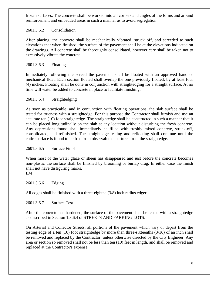frozen surfaces. The concrete shall be worked into all corners and angles of the forms and around reinforcement and embedded areas in such a manner as to avoid segregation.

# 2601.3.6.2 Consolidation

After placing, the concrete shall be mechanically vibrated, struck off, and screeded to such elevations that when finished, the surface of the pavement shall be at the elevations indicated on the drawings. All concrete shall be thoroughly consolidated, however care shall be taken not to excessively vibrate the concrete.

# 2601.3.6.3 Floating

Immediately following the screed the pavement shall be floated with an approved hand or mechanical float. Each section floated shall overlap the one previously floated, by at least four (4) inches. Floating shall be done in conjunction with straightedging for a straight surface. At no time will water be added to concrete in place to facilitate finishing.

# 2601.3.6.4 Straightedging

As soon as practicable, and in conjunction with floating operations, the slab surface shall be tested for trueness with a straightedge. For this purpose the Contractor shall furnish and use an accurate ten (10) foot straightedge. The straightedge shall be constructed in such a manner that it can be placed longitudinally on the slab at any location without disturbing the fresh concrete. Any depressions found shall immediately be filled with freshly mixed concrete, struck-off, consolidated, and refinished. The straightedge testing and refloating shall continue until the entire surface is found to be free from observable departures from the straightedge.

#### 2601.3.6.5 Surface Finish

When most of the water glaze or sheen has disappeared and just before the concrete becomes non-plastic the surface shall be finished by brooming or burlap drag. In either case the finish shall not have disfiguring marks.

I.M

2601.3.6.6 Edging

All edges shall be finished with a three-eighths (3/8) inch radius edger.

2601.3.6.7 Surface Test

After the concrete has hardened, the surface of the pavement shall be tested with a straightedge as described in Section 1.3.6.4 of STREETS AND PARKING LOTS.

On Arterial and Collector Streets, all portions of the pavement which vary or depart from the testing edge of a ten (10) foot straightedge by more than three-sixteenths (3/16) of an inch shall be removed and replaced by the Contractor, unless otherwise directed by the City Engineer. Any area or section so removed shall not be less than ten (10) feet in length, and shall be removed and replaced at the Contractor's expense.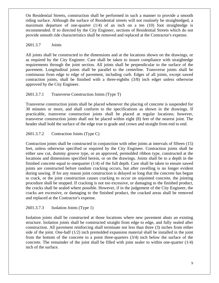On Residential Streets, construction shall be performed in such a manner to provide a smooth riding surface. Although the surface of Residential streets will not routinely be straightedged, a maximum departure of one-quarter  $(1/4)$  of an inch on a ten  $(10)$  foot straightedge is recommended. If so directed by the City Engineer, sections of Residential Streets which do not provide smooth ride characteristics shall be removed and replaced at the Contractor's expense.

#### 2601.3.7 Joints

All joints shall be constructed to the dimensions and at the locations shown on the drawings, or as required by the City Engineer. Care shall be taken to insure compliance with straightedge requirements through the joint section. All joints shall be perpendicular to the surface of the pavement. Longitudinal joints shall be parallel to the centerline. Transverse joints shall be continuous from edge to edge of pavement, including curb. Edges of all joints, except sawed contraction joints, shall be finished with a three-eighths (3/8) inch edger unless otherwise approved by the City Engineer.

# 2601.3.7.1 Transverse Construction Joints (Type T)

Transverse construction joints shall be placed whenever the placing of concrete is suspended for 30 minutes or more, and shall conform to the specifications as shown in the drawings. If practicable, transverse construction joints shall be placed at regular locations; however, transverse construction joints shall not be placed within eight (8) feet of the nearest joint. The header shall hold the surface of the edge true to grade and crown and straight from end to end.

# 2601.3.7.2 Contraction Joints (Type C)

Contraction joints shall be constructed in conjunction with other joints at intervals of fifteen (15) feet, unless otherwise specified or required by the City Engineer. Contraction joints shall be either saw cut, dummy groove type, or an approved, premolded ribbon type, constructed at the locations and dimensions specified herein, or on the drawings. Joints shall be to a depth in the finished concrete equal to onequarter (1/4) of the full depth. Care shall be taken to ensure sawed joints are constructed before random cracking occurs, but after ravelling is no longer evident during sawing. If for any reason joint construction is delayed so long that the concrete has begun to crack, or the joint construction causes cracking to occur on unjointed concrete, the jointing procedure shall be stopped. If cracking is not too excessive, or damaging to the finished product, the cracks shall be sealed where possible. However, if in the judgement of the City Engineer, the cracks are excessive, or damaging to the finished product, the cracked areas shall be removed and replaced at the Contractor's expense.

#### 2601.3.7.3 Isolation Joints (Type 1)

Isolation joints shall be constructed at those locations where new pavement abuts an existing structure. Isolation joints shall be constructed straight from edge to edge, and fully sealed after construction. All pavement reinforcing shall terminate not less than three (3) inches from either side of the joint. One-half  $(1/2)$  inch premolded expansion material shall be installed in the joint from the bottom of the concrete to a point three-quarters (3/4) inch below the surface of the concrete. The remainder of the joint shall be filled with joint sealer to within one-quarter (1/4) inch of the surface.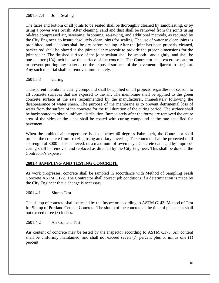# 2601.3.7.4 Joint Sealing

The faces and bottom of all joints to be sealed shall be thoroughly cleaned by sandblasting, or by using a power wire brush. After cleaning, sand and dust shall be removed from the joints using oil-free compressed air, sweeping, brooming, re-sawing, and additional methods, as required by the City Engineer, to insure absolutely clean joints for sealing. The use of water to clean joints is prohibited, and all joints shall be dry before sealing. After the joint has been properly cleaned, backer rod shall be placed in the joint sealer reservoir to provide the proper dimensions for the joint sealer. The finished surface of the joint sealant shall be smooth and sightly, and shall be one-quarter (1/4) inch below the surface of the concrete. The Contractor shall excercise caution to prevent pouring any material on the exposed surfaces of the pavement adjacent to the joint. Any such material shall be removed immediately.

2601.3.8 Curing

Transparent membrane curing compound shall be applied on all projects, regardless of season, to all concrete surfaces that are exposed to the air. The membrane shall be applied to the green concrete surface at the rate recommended by the manufacturer, immediately following the disappearance of water sheen. The purpose of the membrane is to prevent detrimental loss of water from the surface of the concrete for the full duration of the curing period. The surface shall be backspotted to obtain uniform distribution. Immediately after the forms are removed the entire area of the sides of the slabs shall be coated with curing compound at the rate specified for pavement.

When the ambient air temperature is at or below 40 degrees Fahrenheit, the Contractor shall protect the concrete from freezing using auxiliary covering. The concrete shall be protected until a strength of 3000 psi is achieved, or a maximum of seven days. Concrete damaged by improper curing shall be removed and replaced as directed by the City Engineer. This shall be done at the Contractor's expense.

# **2601.4 SAMPLING AND TESTING CONCRETE**

As work progresses, concrete shall be sampled in accordance with Method of Sampling Fresh Concrete ASTM C172. The Contractor shall correct job conditions if a determination is made by the City Engineer that a change is necessary.

2601.4.1 Slump Test

The slump of concrete shall be tested by the Inspector according to ASTM C143; Method of Test for Slump of Portland Cement Concrete. The slump of the concrete at the time of placement shall not exceed three (3) inches.

2601.4.2 Air Content Test

Air content of concrete may be tested by the Inspector according to ASTM C173. Air content shall be uniformly maintained, and shall not exceed seven (7) percent plus or minus one (1) percent.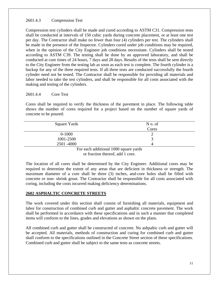# 2601.4.3 Compression Test

Compression test cylinders shall be made and cured according to ASTM C31. Compression tests shall be conducted at intervals of 150 cubic yards during concrete placement, or at least one test per day. The Contractor shall make no fewer than four (4) cylinders per test. The cylinders shall be made in the presence of the Inspector. Cylinders cured under job conditions may be required, when in the opinion of the City Engineer job conditions necessitate. Cylinders shall be tested according to ASTM C39. The testing shall be done by an approved laboratory, and shall be conducted at cure times of 24 hours, 7 days and 28 days. Results of the tests shall be sent directly to the City Engineer from the testing lab as soon as each test is complete. The fourth cylinder is a backup for any of the three required tests. If all three tests are conducted successfully the fourth cylinder need not be tested. The Contractor shall be responsible for providing all materials and labor needed to take the test cylinders, and shall be responsible for all costs associated with the making and testing of the cylinders.

# 2601.4.4 Core Test

Cores shall be required to verify the thickness of the pavement in place. The following table shows the number of cores required for a project based on the number of square yards of concrete to be poured:

| Square Yards               | N o. of |
|----------------------------|---------|
|                            | Cores   |
| $0 - 1000$                 |         |
| 1001-2500                  |         |
| 2501 -4000                 |         |
| $\cdots$<br>$\blacksquare$ | 1.1000  |

For each additional 1000 square yards or fraction thereof, add 1 core.

The location of all cores shall be determined by the City Engineer. Additional cores may be required to determine the extent of any areas that are deficient in thickness or strength. The maximum diameter of a core shall be three (3) inches, and-core holes shall be filled with concrete or non- shrink grout. The Contractor shall be responsible for all costs associated with coring, including the costs incurred making deficiency determinations.

#### **2602 ASPHALTIC CONCRETE STREETS**

The work covered under this section shall consist of furnishing all materials, equipment and labor for construction of combined curb and gutter and asphaltic concrete pavement. The work shall be performed in accordance with these specifications and in such a manner that completed items will conform to the lines, grades and elevations as shown on the plans.

All combined curb and gutter shall be constructed of concrete. No ashpaltic curb and gutter will be accepted. All materials, methods of construction and curing for combined curb and gutter shall conform to the specifications outlined in the Concrete Street section of these specifications. Combined curb and gutter shall be subject to the same tests as concrete streets.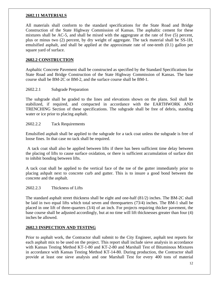# **2602.11 MATERIALS**

All materials shall conform to the standard specifications for the State Road and Bridge Construction of the State Highway Commission of Kansas. The asphaltic cement for these mixtures shall be AC-5, and shall be mixed with the aggregrate at the rate of five (5) percent, plus or minus two (2) percent, by dry weight of aggregate. The tack material shall be SS-1H, emulsified asphalt, and shall be applied at the approximate rate of one-tenth (0.1) gallon per square yard of surface.

# **2602.2 CONSTRUCTION**

Asphaltic Concrete Pavement shall be constructed as specified by the Standard Specifications for State Road and Bridge Construction of the State Highway Commission of Kansas. The base course shall be BM-2C or BM-2, and the surface course shall be BM-1.

#### 2602.2.1 Subgrade Preparation

The subgrade shall be graded to the lines and elevations shown on the plans. Soil shall be stabilized, if required, and compacted in accordance with the EARTHWORK AND TRENCHING Section of these specifications. The subgrade shall be free of debris, standing water or ice prior to placing asphalt.

#### 2602.2.2 Tack Requirements

Emulsified asphalt shall be applied to the subgrade for a tack coat unless the subgrade is free of loose fines. In that case no tack shall be required.

A tack coat shall also be applied between lifts if there has been sufficient time delay between the placing of lifts to cause surface oxidation, or there is sufficient accumulation of surface dirt to inhibit bonding between lifts.

A tack coat shall be applied to the vertical face of the toe of the gutter immediately prior to placing ashpalt next to concrete curb and gutter. This is to insure a good bond between the concrete and the asphalt.

#### 2602.2.3 Thickness of Lifts

The standard asphalt street thickness shall be eight and one-half (81/2) inches. The BM-2C shall be laid in two equal lifts which total seven and threequarters (73/4) inches. The BM-1 shall be placed in one lift of three-quarters (3/4) of an inch. For projects requiring thicker pavement, the base course shall be adjusted accordingly, but at no time will lift thicknesses greater than four (4) inches be allowed.

#### **2602.3 INSPECTION AND TESTING**

Prior to asphalt work, the Contractor shall submit to the City Engineer, asphalt test reports for each asphalt mix to be used on the project. This report shall include sieve analysis in accordance with Kansas Testing Method KT-1-80 and KT-2-80 and Marshall Test of Bituminous Mixtures in accordance with Kansas Testing Method KT-14-80. During production, the Contractor shall provide at least one sieve analysis and one Marshall Test for every 400 tons of material